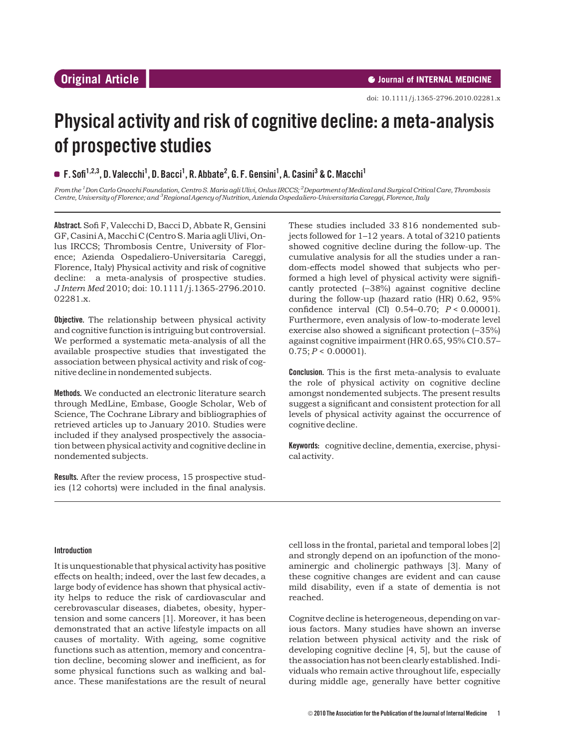doi: 10.1111/j.1365-2796.2010.02281.x

## Physical activity and risk of cognitive decline: a meta-analysis of prospective studies

F. Sofi<sup>1,2,3</sup>, D. Valecchi<sup>1</sup>, D. Bacci<sup>1</sup>, R. Abbate<sup>2</sup>, G. F. Gensini<sup>1</sup>, A. Casini<sup>3</sup> & C. Macchi<sup>1</sup>

From the <sup>1</sup>Don Carlo Gnocchi Foundation, Centro S. Maria agli Ulivi, Onlus IRCCS; <sup>2</sup>Department of Medical and Surgical Critical Care, Thrombosis Centre, University of Florence; and <sup>3</sup>Regional Agency of Nutrition, Azienda Ospedaliero-Universitaria Careggi, Florence, Italy

Abstract. Sofi F, Valecchi D, Bacci D, Abbate R, Gensini GF, CasiniA,Macchi C (Centro S.Maria agli Ulivi, Onlus IRCCS; Thrombosis Centre, University of Florence; Azienda Ospedaliero-Universitaria Careggi, Florence, Italy) Physical activity and risk of cognitive decline: a meta-analysis of prospective studies. J Intern Med 2010; doi: 10.1111/j.1365-2796.2010. 02281.x.

Objective. The relationship between physical activity and cognitive function is intriguing but controversial. We performed a systematic meta-analysis of all the available prospective studies that investigated the association between physical activity and risk of cognitive decline in nondemented subjects.

Methods. We conducted an electronic literature search through MedLine, Embase, Google Scholar, Web of Science, The Cochrane Library and bibliographies of retrieved articles up to January 2010. Studies were included if they analysed prospectively the association between physical activity and cognitive decline in nondemented subjects.

Results. After the review process, 15 prospective studies (12 cohorts) were included in the final analysis.

These studies included 33 816 nondemented subjects followed for 1–12 years. A total of 3210 patients showed cognitive decline during the follow-up. The cumulative analysis for all the studies under a random-effects model showed that subjects who performed a high level of physical activity were significantly protected  $(-38%)$  against cognitive decline during the follow-up (hazard ratio (HR) 0.62, 95% confidence interval (CI)  $0.54-0.70$ ;  $P < 0.00001$ ). Furthermore, even analysis of low-to-moderate level exercise also showed a significant protection  $(-35%)$ against cognitive impairment (HR 0.65, 95% CI 0.57–  $0.75; P < 0.00001$ ).

Conclusion. This is the first meta-analysis to evaluate the role of physical activity on cognitive decline amongst nondemented subjects. The present results suggest a significant and consistent protection for all levels of physical activity against the occurrence of cognitive decline.

Keywords: cognitive decline, dementia, exercise, physical activity.

#### Introduction

It isunquestionable that physical activity has positive effects on health; indeed, over the last few decades, a large body of evidence has shown that physical activity helps to reduce the risk of cardiovascular and cerebrovascular diseases, diabetes, obesity, hypertension and some cancers [1]. Moreover, it has been demonstrated that an active lifestyle impacts on all causes of mortality. With ageing, some cognitive functions such as attention, memory and concentration decline, becoming slower and inefficient, as for some physical functions such as walking and balance. These manifestations are the result of neural cell loss in the frontal, parietal and temporal lobes [2] and strongly depend on an ipofunction of the monoaminergic and cholinergic pathways [3]. Many of these cognitive changes are evident and can cause mild disability, even if a state of dementia is not reached.

Cognitve decline is heterogeneous, depending on various factors. Many studies have shown an inverse relation between physical activity and the risk of developing cognitive decline [4, 5], but the cause of the association has not been clearly established. Individuals who remain active throughout life, especially during middle age, generally have better cognitive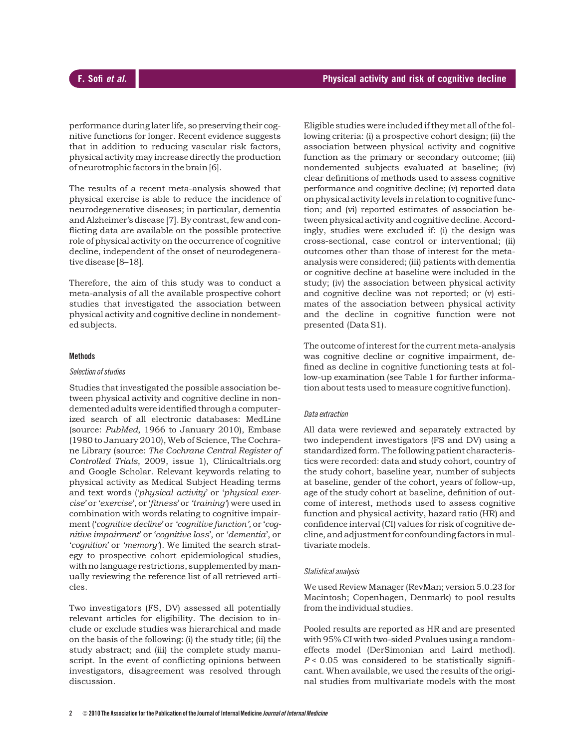performance during later life, so preserving their cognitive functions for longer. Recent evidence suggests that in addition to reducing vascular risk factors, physical activitymay increase directly the production of neurotrophic factors in the brain [6].

The results of a recent meta-analysis showed that physical exercise is able to reduce the incidence of neurodegenerative diseases; in particular, dementia and Alzheimer's disease [7]. By contrast, few and conflicting data are available on the possible protective role of physical activity on the occurrence of cognitive decline, independent of the onset of neurodegenerative disease [8–18].

Therefore, the aim of this study was to conduct a meta-analysis of all the available prospective cohort studies that investigated the association between physical activity and cognitive decline in nondemented subjects.

#### Methods

#### Selection of studies

Studies that investigated the possible association between physical activity and cognitive decline in nondemented adults were identified through a computerized search of all electronic databases: MedLine (source: PubMed, 1966 to January 2010), Embase (1980 to January 2010), Web of Science, The Cochrane Library (source: The Cochrane Central Register of Controlled Trials, 2009, issue 1), Clinicaltrials.org and Google Scholar. Relevant keywords relating to physical activity as Medical Subject Heading terms and text words ('physical activity' or 'physical exercise' or 'exercise', or 'fitness' or 'training') were used in combination with words relating to cognitive impairment ('cognitive decline' or 'cognitive function', or 'cognitive impairment' or 'cognitive loss', or 'dementia', or 'cognition' or 'memory'). We limited the search strategy to prospective cohort epidemiological studies, with no language restrictions, supplemented bymanually reviewing the reference list of all retrieved articles.

Two investigators (FS, DV) assessed all potentially relevant articles for eligibility. The decision to include or exclude studies was hierarchical and made on the basis of the following: (i) the study title; (ii) the study abstract; and (iii) the complete study manuscript. In the event of conflicting opinions between investigators, disagreement was resolved through discussion.

Eligible studies were included if they met all of the following criteria: (i) a prospective cohort design; (ii) the association between physical activity and cognitive function as the primary or secondary outcome; (iii) nondemented subjects evaluated at baseline; (iv) clear definitions of methods used to assess cognitive performance and cognitive decline; (v) reported data on physical activity levels in relation to cognitive function; and (vi) reported estimates of association between physical activity and cognitive decline. Accordingly, studies were excluded if: (i) the design was cross-sectional, case control or interventional; (ii) outcomes other than those of interest for the metaanalysis were considered; (iii) patients with dementia or cognitive decline at baseline were included in the study; (iv) the association between physical activity and cognitive decline was not reported; or (v) estimates of the association between physical activity and the decline in cognitive function were not presented (Data S1).

The outcome of interest for the current meta-analysis was cognitive decline or cognitive impairment, defined as decline in cognitive functioning tests at follow-up examination (see Table 1 for further information about tests used tomeasure cognitive function).

#### Data extraction

All data were reviewed and separately extracted by two independent investigators (FS and DV) using a standardized form. The following patient characteristics were recorded: data and study cohort, country of the study cohort, baseline year, number of subjects at baseline, gender of the cohort, years of follow-up, age of the study cohort at baseline, definition of outcome of interest, methods used to assess cognitive function and physical activity, hazard ratio (HR) and confidence interval (CI) values for risk of cognitive decline, and adjustment for confounding factors inmultivariatemodels.

#### Statistical analysis

We used Review Manager (RevMan; version 5.0.23 for Macintosh; Copenhagen, Denmark) to pool results from the individual studies.

Pooled results are reported as HR and are presented with  $95\%$  CI with two-sided P values using a randomeffects model (DerSimonian and Laird method).  $P < 0.05$  was considered to be statistically significant. When available, we used the results of the original studies from multivariate models with the most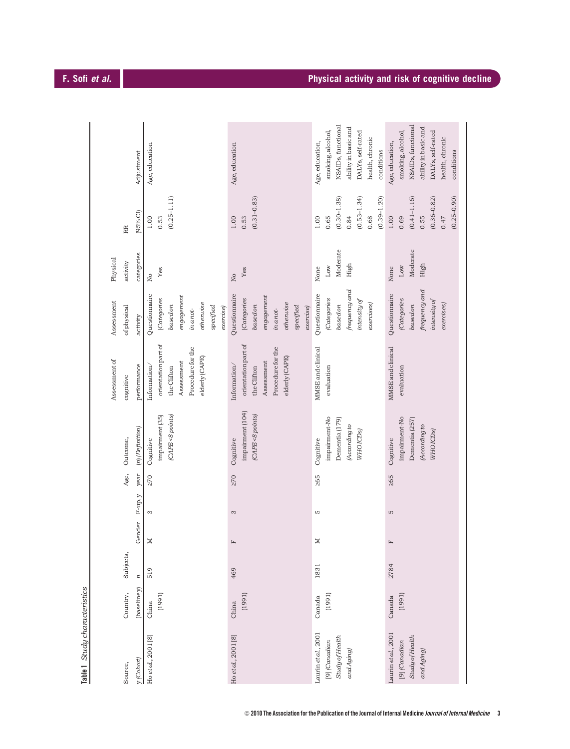Table 1 Study characteristics Table 1 Study characteristics

|                                                                         |                  |           |        |                                                                             |                  |                                                                                      | Assessment of                                                                                           | Assessment                                                                                                | Physical                         |                                                                                       |                                                                                                                                          |
|-------------------------------------------------------------------------|------------------|-----------|--------|-----------------------------------------------------------------------------|------------------|--------------------------------------------------------------------------------------|---------------------------------------------------------------------------------------------------------|-----------------------------------------------------------------------------------------------------------|----------------------------------|---------------------------------------------------------------------------------------|------------------------------------------------------------------------------------------------------------------------------------------|
| Source,                                                                 | Country,         | Subjects, |        |                                                                             | Age,             | Outcome,                                                                             | cognitive                                                                                               | of physical                                                                                               | activity                         | RR                                                                                    |                                                                                                                                          |
| y (Cohort)                                                              | (baseliney)      | r         | Gender | $\ensuremath{\mathop{\text{\rm F-up}}\nolimits}, \ensuremath{\text{\rm y}}$ | year             | (n) (Definition)                                                                     | performance                                                                                             | activity                                                                                                  | categories                       | $(95%$ CI)                                                                            | Adjustment                                                                                                                               |
| Ho et al., 2001 [8]                                                     | (1991)<br>China  | 519       | $\geq$ | 3                                                                           | $\geq 70$        | (CAPE <8 points)<br>impairment (35)<br>Cognitive                                     | orientation part of<br>Procedure for the<br>elderly (CAPE)<br>Assessment<br>Information/<br>the Clifton | Questionnaire<br>engagement<br>(Categories<br>otherwise<br>basedon<br>specified<br>exercise)<br>in a not- | Yes<br>Νo                        | $(0.25 - 1.11)$<br>0.53<br>$1.00\,$                                                   | Age, education                                                                                                                           |
| Ho et al., 2001 [8]                                                     | (1991)<br>China  | 469       | 匞      | 3                                                                           | $0<\overline{z}$ | impairment (104)<br>(CAPE <8 points)<br>Cognitive                                    | orientation part of<br>Procedure for the<br>elderly (CAPE)<br>Assessment<br>Information/<br>the Clifton | Questionnaire<br>engagement<br>(Categories<br>otherwise<br>basedon<br>specified<br>exercise)<br>in a not  | Yes<br>$\overline{\mathsf{N}}$ o | $(0.31 - 0.83)$<br>1.00<br>0.53                                                       | Age, education                                                                                                                           |
| Laurin et al., 2001<br>Study of Health<br>$[9]$ (Canadian<br>and Aging) | (1991)<br>Canada | 1831      | Σ      | S                                                                           | $\geq 65$        | impairment-No<br>Dementia (179)<br>(According to<br>WHO <sub>ICDs</sub><br>Cognitive | <b>MMSE</b> and clinical<br>evaluation                                                                  | frequency and<br>Questionnaire<br>(Categories<br>intensity of<br>exercises)<br>basedon                    | Moderate<br>High<br>Low<br>None  | $(0.53 - 1.34)$<br>$(0.30 - 1.38)$<br>$(0.39 - 1.20)$<br>0.84<br>0.68<br>0.65<br>1.00 | NSAIDs, functional<br>ability in basic and<br>smoking, alcohol,<br>DALYs, self-rated<br>health, chronic<br>Age, education,<br>conditions |
| Laurin et al., 2001<br>Study of Health<br>$[9]$ (Canadian<br>and Aging) | (1991)<br>Canada | 2784      | 匞      | LO                                                                          | $\geq 65$        | impairment-No<br>Dementia (257)<br>(According to<br>WHO <sub>ICDs</sub><br>Cognitive | MMSE and clinical<br>evaluation                                                                         | frequency and<br>Questionnaire<br>(Categories<br>intensity of<br>exercises)<br>basedon                    | Moderate<br>High<br>Low<br>None  | $(0.41 - 1.16)$<br>$(0.25 - 0.90)$<br>$(0.36 - 0.82)$<br>0.55<br>1.00<br>0.69<br>0.47 | NSAIDs, functional<br>ability in basic and<br>smoking, alcohol,<br>DALYs, self-rated<br>health, chronic<br>Age, education,<br>conditions |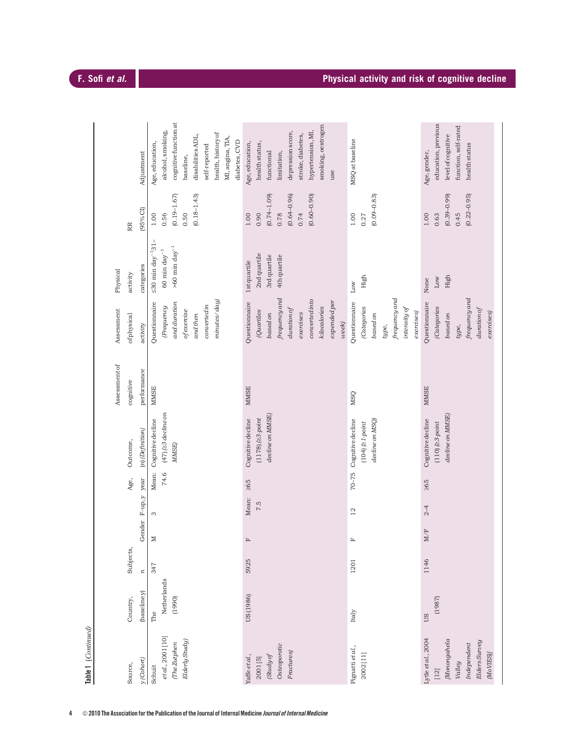|                             |                    |                  |                                                   |                     |               |                                                 | Assessment of | Assessment                        | Physical                                                              |                     |                                      |
|-----------------------------|--------------------|------------------|---------------------------------------------------|---------------------|---------------|-------------------------------------------------|---------------|-----------------------------------|-----------------------------------------------------------------------|---------------------|--------------------------------------|
| Source,                     | Country,           | Subjects,        |                                                   |                     | Age,          | Outcome,                                        | cognitive     | of physical                       | activity                                                              | <b>RR</b>           |                                      |
| y (Cohort)                  | (baseliney)        | $\boldsymbol{n}$ |                                                   | Gender F-up, y year |               | $(n)$ $\mathcal{D}$ efinition)                  | performance   | activity                          | categories                                                            | (95% <sup>°</sup> ) | Adjustment                           |
| et al., 2001 [10]<br>Schuit | Netherlands<br>The | 347              | Σ                                                 | S                   | Mean:<br>74.6 | $(47)$ $\geq$ 3 decline on<br>Cognitive decline | MMSE          | Questionnaire                     | $\leq$ 30 min day <sup>-1</sup> 31-<br>$60\,$ min $\mathrm{day}^{-1}$ | 0.56<br>1.00        | alcohol, smoking,<br>Age, education, |
| (The Zutphen                | (1990)             |                  |                                                   |                     |               | MMSE)                                           |               | and duration<br><b>[Frequency</b> | $>60~\mathrm{min}~\mathrm{day}^{-1}$                                  | $(0.19 - 1.67)$     | cognitive function at                |
| Elderly Study)              |                    |                  |                                                   |                     |               |                                                 |               | of exercise                       |                                                                       | 0.50                | baseline,                            |
|                             |                    |                  |                                                   |                     |               |                                                 |               | and then                          |                                                                       | $(0.18 - 1.43)$     | disabilities ADL,                    |
|                             |                    |                  |                                                   |                     |               |                                                 |               | converted in                      |                                                                       |                     | self-reported                        |
|                             |                    |                  |                                                   |                     |               |                                                 |               | minutes/day)                      |                                                                       |                     | health, history of                   |
|                             |                    |                  |                                                   |                     |               |                                                 |               |                                   |                                                                       |                     | MI, angina, TIA,<br>diabetes, CVD    |
| Yaffe et al.,               | US(1986)           | 5925             | $\square$                                         | Mean:               | $\geq 65$     | Cognitive decline                               | <b>MMSE</b>   | Questionnaire                     | <b>1st</b> quartile                                                   | 1.00                | Age, education,                      |
| 2001[5]                     |                    |                  |                                                   | 7.5                 |               | $(1178)$ $(23$ -point                           |               | <i><b>Quartiles</b></i>           | 2nd quartile                                                          | 0.90                | health status,                       |
| (Study of                   |                    |                  |                                                   |                     |               | decline on MMSE)                                |               | basedon                           | 3rd quartile                                                          | $(0.74 - 1.09)$     | functional                           |
| Osteoporotic                |                    |                  |                                                   |                     |               |                                                 |               | frequency and                     | 4th quartile                                                          | 0.78                | limitation,                          |
| Fractures)                  |                    |                  |                                                   |                     |               |                                                 |               | duration of                       |                                                                       | $(0.64 - 0.96)$     | depression score,                    |
|                             |                    |                  |                                                   |                     |               |                                                 |               | exercises                         |                                                                       | 0.74                | stroke, diabetes,                    |
|                             |                    |                  |                                                   |                     |               |                                                 |               | converted into                    |                                                                       | $(0.60 - 0.90)$     | hypertension, MI,                    |
|                             |                    |                  |                                                   |                     |               |                                                 |               | kilocalories                      |                                                                       |                     | smoking, oestrogen                   |
|                             |                    |                  |                                                   |                     |               |                                                 |               | expended per                      |                                                                       |                     | use                                  |
|                             |                    |                  |                                                   |                     |               |                                                 |               | week)                             |                                                                       |                     |                                      |
| Pignatti et al.,            | Italy              | 1201             | 匞                                                 | $\overline{c}$      |               | 70-75 Cognitive decline                         | <b>MSQ</b>    | Questionnaire                     | Low                                                                   | 1.00                | MSQ at baseline                      |
| 2002[11]                    |                    |                  |                                                   |                     |               | $(104) \geq 1$ -point                           |               | (Categories                       | High                                                                  | 0.27                |                                      |
|                             |                    |                  |                                                   |                     |               | decline on MSQ)                                 |               | basedon                           |                                                                       | $(0.09 - 0.83)$     |                                      |
|                             |                    |                  |                                                   |                     |               |                                                 |               | type,                             |                                                                       |                     |                                      |
|                             |                    |                  |                                                   |                     |               |                                                 |               | frequency and                     |                                                                       |                     |                                      |
|                             |                    |                  |                                                   |                     |               |                                                 |               | intensity of                      |                                                                       |                     |                                      |
|                             |                    |                  |                                                   |                     |               |                                                 |               | exercises)                        |                                                                       |                     |                                      |
| Lytle et al., 2004          | SQ                 | 1146             | $\ensuremath{\mathrm{M}}/\ensuremath{\mathrm{F}}$ | $2-4$               | $\geq 65$     | Cognitive decline                               | <b>MMSE</b>   | Questionnaire                     | None                                                                  | 1.00                | Age, gender,                         |
| $[12]$                      | (1987)             |                  |                                                   |                     |               | $(110)$ $(23-point$                             |               | (Categories                       | Low                                                                   | 0.63                | education, previous                  |
| Monongahela                 |                    |                  |                                                   |                     |               | decline on MMSE)                                |               | basedon                           | High                                                                  | $(0.39 - 0.99)$     | level of cognitive                   |
| Valley                      |                    |                  |                                                   |                     |               |                                                 |               | type,                             |                                                                       | 0.45                | function, self-rated                 |
| Independent                 |                    |                  |                                                   |                     |               |                                                 |               | frequency and                     |                                                                       | $(0.22 - 0.95)$     | health status                        |
| Elders Survey               |                    |                  |                                                   |                     |               |                                                 |               | duration of                       |                                                                       |                     |                                      |
| (MoVIES)]                   |                    |                  |                                                   |                     |               |                                                 |               | exercises)                        |                                                                       |                     |                                      |

## F. Sofi et al. **|** Physical activity and risk of cognitive decline

Table 1 (Continued)

Table 1 (Continued)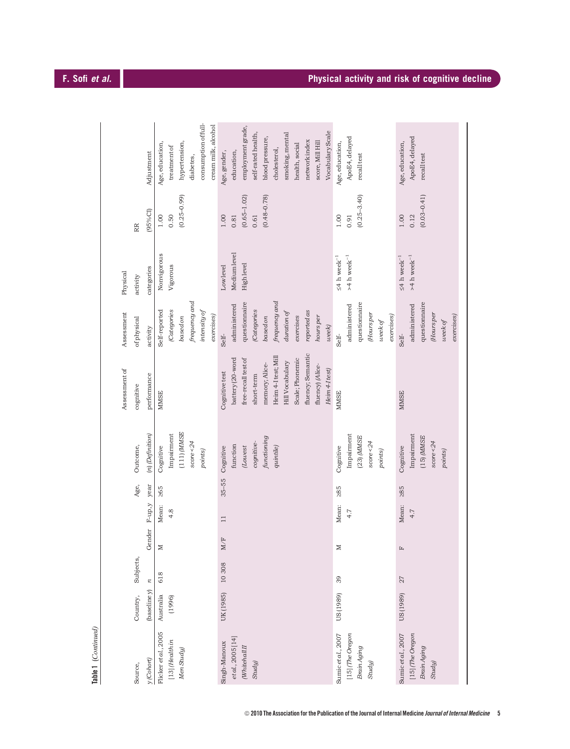# Table 1 (Continued) Table 1 (Continued)

|                      |             |           |                                                   |                     |           |                                | Assessment of       | Assessment    | Physical                      |                      |                      |
|----------------------|-------------|-----------|---------------------------------------------------|---------------------|-----------|--------------------------------|---------------------|---------------|-------------------------------|----------------------|----------------------|
| Source,              | Country,    | Subjects, |                                                   |                     | Age,      | Outcome,                       | cognitive           | of physical   | activity                      | RR                   |                      |
| y(Cohort)            | (baseliney) |           |                                                   | Gender F-up, y year |           | $(n)$ $\mathcal{D}$ efinition) | performance         | activity      | categories                    | (95% <sub>CI</sub> ) | Adjustment           |
| Flicker et al., 2005 | Australia   | 618       | $\geq$                                            | Mean:               | $\geq 65$ | Cognitive                      | MMSE                | Self-reported | Nonvigorous                   | 1.00                 | Age, education,      |
| $[13] (Health in$    | (1996)      |           |                                                   | 4.8                 |           | Impairment                     |                     | (Categories   | Vigorous                      | 0.50                 | treatment of         |
| Men Study)           |             |           |                                                   |                     |           | (111) (MMSE                    |                     | basedon       |                               | $(0.25 - 0.99)$      | hypertension,        |
|                      |             |           |                                                   |                     |           | score $< 24$                   |                     | frequency and |                               |                      | diabetes,            |
|                      |             |           |                                                   |                     |           | points)                        |                     | intensity of  |                               |                      | consumption of full- |
|                      |             |           |                                                   |                     |           |                                |                     | exercises)    |                               |                      | cream milk, alcohol  |
| Singh-Manoux         | UK(1985)    | 10308     | $\ensuremath{\mathrm{M}}/\ensuremath{\mathrm{F}}$ | $\Xi$               | $35 - 55$ | Cognitive                      | Cognitive test      | Self-         | Low level                     | 1.00                 | Age, gender,         |
| et al., 2005 [14]    |             |           |                                                   |                     |           | function                       | battery (20-word    | administered  | Medium level                  | 0.81                 | education,           |
| (WhitehallII         |             |           |                                                   |                     |           | <b>Lowest</b>                  | free-recall test of | questionnaire | High level                    | $(0.65 - 1.02)$      | employment grade,    |
| Study)               |             |           |                                                   |                     |           | cognitive-                     | short-term          | (Categories   |                               | 0.61                 | self-rated health,   |
|                      |             |           |                                                   |                     |           | functioning                    | memory; Alice-      | basedon       |                               | $(0.48 - 0.78)$      | blood pressure,      |
|                      |             |           |                                                   |                     |           | quintile)                      | Heim 4-I test; Mill | frequency and |                               |                      | cholesterol,         |
|                      |             |           |                                                   |                     |           |                                | Hill Vocabulary     | duration of   |                               |                      | smoking, mental      |
|                      |             |           |                                                   |                     |           |                                | Scale; Phonemic     | exercises     |                               |                      | health, social       |
|                      |             |           |                                                   |                     |           |                                | fluency; Semantic   | reported as   |                               |                      | networkindex         |
|                      |             |           |                                                   |                     |           |                                | fluency) (Alice-    | hoursper      |                               |                      | score, MillHill      |
|                      |             |           |                                                   |                     |           |                                | Heim 4-Itest)       | week          |                               |                      | Vocabulary Scale     |
| Sumic et al., 2007   | US(1989)    | 39        | Z                                                 | Mean:               | $\geq 85$ | Cognitive                      | <b>MMSE</b>         | Self-         | $\leq$ 4 h week <sup>-1</sup> | 1.00                 | Age, education,      |
| [15] (The Oregon     |             |           |                                                   | 4.7                 |           | Impairment                     |                     | administered  | $>4$ h week $^{-1}$           | 0.91                 | ApoE4, delayed       |
| <b>Brain Aging</b>   |             |           |                                                   |                     |           | (23) (MMSE                     |                     | questionnaire |                               | $(0.25 - 3.40)$      | recall test          |
| Study)               |             |           |                                                   |                     |           | score < 24                     |                     | (Hours per    |                               |                      |                      |
|                      |             |           |                                                   |                     |           | points)                        |                     | week of       |                               |                      |                      |
|                      |             |           |                                                   |                     |           |                                |                     | exercises)    |                               |                      |                      |
| Sumic et al., 2007   | US(1989)    | 27        | 丘                                                 | Mean:               | 285       | Cognitive                      | MMSE                | Self-         | $\leq 4$ h week <sup>-1</sup> | 1.00                 | Age, education,      |
| $[15]$ (The Oregon   |             |           |                                                   | 4.7                 |           | Impairment                     |                     | administered  | $>4$ h week $^{-1}$           | 0.12                 | ApoE4, delayed       |
| <b>Brain Aging</b>   |             |           |                                                   |                     |           | (15) (MMSE                     |                     | questionnaire |                               | $(0.03 - 0.41)$      | recall test          |
| Study)               |             |           |                                                   |                     |           | score < 24                     |                     | (Hours per    |                               |                      |                      |
|                      |             |           |                                                   |                     |           | points)                        |                     | week of       |                               |                      |                      |
|                      |             |           |                                                   |                     |           |                                |                     | exercises)    |                               |                      |                      |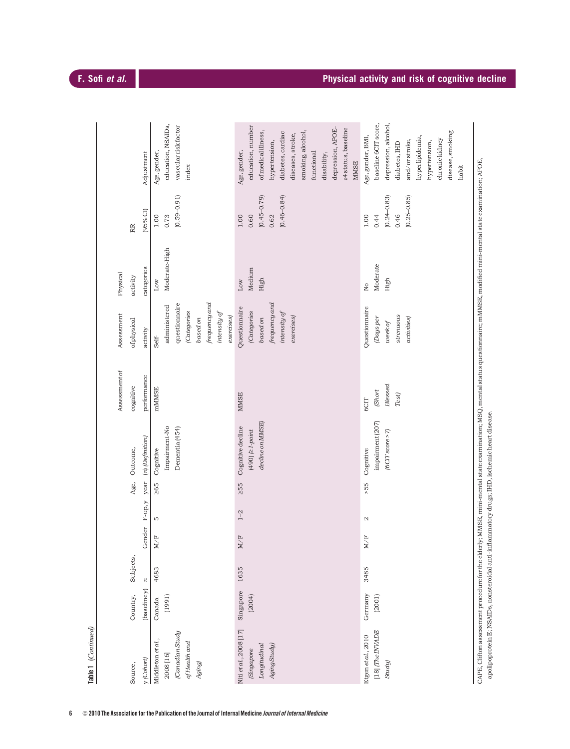## Table 1 (Continued) Table 1 (Continued)

|                                |                  |           |                                                   |              |           |                            | Assessment of     | Assessment                    | Physical                      |                  |                                    |
|--------------------------------|------------------|-----------|---------------------------------------------------|--------------|-----------|----------------------------|-------------------|-------------------------------|-------------------------------|------------------|------------------------------------|
| Source,                        | Country,         | Subjects, |                                                   |              |           | Age, Outcome,              | cognitive         | of physical                   | activity                      | RR               |                                    |
| y (Cohort)                     | (baseliney)      |           | Gender                                            | $F$ -up, $y$ | year      | $(n)$ (Definition)         | performance       | activity                      | categories                    | (95%C1)          | Adjustment                         |
| Middleton et al.,<br>2008 [16] | (1991)<br>Canada | 4683      | $\mathbb{M}/\mathbb{F}$                           | LO           | $\geq 65$ | Impairment-No<br>Cognitive | mMMSE             | administered<br>Self-         | Moderate-High<br>$_{\rm Low}$ | 0.73<br>$1.00\,$ | education, NSAIDs,<br>Age, gender, |
| (Canadian Study                |                  |           |                                                   |              |           | Dementia (454)             |                   | questionnaire                 |                               | $(0.59 - 0.91)$  | vascular risk factor               |
| $of$ Health and                |                  |           |                                                   |              |           |                            |                   | Categories                    |                               |                  | index                              |
| Aging)                         |                  |           |                                                   |              |           |                            |                   | based on                      |                               |                  |                                    |
|                                |                  |           |                                                   |              |           |                            |                   | frequency and<br>intensity of |                               |                  |                                    |
|                                |                  |           |                                                   |              |           |                            |                   | exercises)                    |                               |                  |                                    |
| Niti et al., 2008 [17]         | Singapore        | 1635      | $\ensuremath{\mathrm{M}}/\ensuremath{\mathrm{F}}$ | $1 - 2$      | $\geq$ 55 | Cognitive decline          | <b>MMSE</b>       | Questionnaire                 | $_{\rm Low}$                  | $1.00$           | Age, gender,                       |
| (Singapore                     | (2004)           |           |                                                   |              |           | (490) $\geq 1$ -point      |                   | <b>Categories</b>             | Medium                        | 0.60             | education, number                  |
| Longitudinal                   |                  |           |                                                   |              |           | decline on MMSE)           |                   | based on                      | High                          | $(0.45 - 0.79)$  | of medical illness,                |
| Aging Study)                   |                  |           |                                                   |              |           |                            |                   | frequency and                 |                               | 0.62             | hypertension,                      |
|                                |                  |           |                                                   |              |           |                            |                   | intensity of                  |                               | $(0.46 - 0.84)$  | diabetes, cardiac                  |
|                                |                  |           |                                                   |              |           |                            |                   | exercises)                    |                               |                  | diseases, stroke,                  |
|                                |                  |           |                                                   |              |           |                            |                   |                               |                               |                  | smoking, alcohol,                  |
|                                |                  |           |                                                   |              |           |                            |                   |                               |                               |                  | functional                         |
|                                |                  |           |                                                   |              |           |                            |                   |                               |                               |                  | disability,                        |
|                                |                  |           |                                                   |              |           |                            |                   |                               |                               |                  | depression, APOE-                  |
|                                |                  |           |                                                   |              |           |                            |                   |                               |                               |                  | e4 status, baseline                |
|                                |                  |           |                                                   |              |           |                            |                   |                               |                               |                  | <b>MMSE</b>                        |
| Etgen et al., 2010             | Germany          | 3485      | $\mathbf{M}/\mathbf{F}$                           | Z            | 55        | Cognitive                  | 6CIT              | Questionnaire                 | $_{\rm No}$                   | $1.00\,$         | Age, gender, BMI,                  |
| [18] (The INVADE               | (2001)           |           |                                                   |              |           | impairment(207)            | $(\mathit{Short}$ | (Days per                     | Moderate                      | 0.44             | baseline 6CIT score,               |
| $Study)$                       |                  |           |                                                   |              |           | (6CTT score > 7)           | Blessed           | weekof                        | High                          | $(0.24 - 0.83)$  | depression, alcohol,               |
|                                |                  |           |                                                   |              |           |                            | $Test$            | strenuous                     |                               | 0.46             | diabetes, IHD                      |
|                                |                  |           |                                                   |              |           |                            |                   | activities)                   |                               | $(0.25 - 0.85)$  | and/or stroke,                     |
|                                |                  |           |                                                   |              |           |                            |                   |                               |                               |                  | hyperlipidemia,                    |
|                                |                  |           |                                                   |              |           |                            |                   |                               |                               |                  | hypertension,                      |
|                                |                  |           |                                                   |              |           |                            |                   |                               |                               |                  | chronic kidney                     |
|                                |                  |           |                                                   |              |           |                            |                   |                               |                               |                  | disease, smoking                   |
|                                |                  |           |                                                   |              |           |                            |                   |                               |                               |                  | habit                              |
|                                |                  |           |                                                   |              |           |                            |                   |                               |                               |                  |                                    |

CAPE, Clifton assessment procedure for the elderly;MMSE,mini-mental state examination;MSQ,mental status questionnaire;mMMSE,modifiedmini-mental state examination; APOE,

CAPE, Clifton assessment procedure for the elderly; MMSE, mini-mental state examination; MSQ, mental status questionnaire; mMMSE, modified mini-mental state examination; APOE,<br>apolipoprotein E; NSAIDs, nonsteroidal anti-in

apolipoprotein E; NSAIDs, nonsteroidal anti-inflammatory drugs; IHD, ischemic heart disease.

6 © 2010 The Association for the Publication of the Journal of Internal Medicine *Journal of Internal Medicine*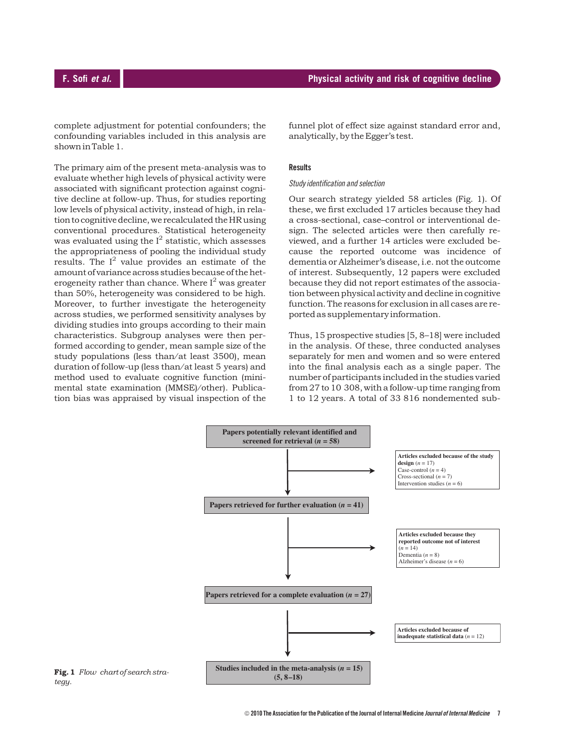complete adjustment for potential confounders; the confounding variables included in this analysis are shown in Table 1.

The primary aim of the present meta-analysis was to evaluate whether high levels of physical activity were associated with significant protection against cognitive decline at follow-up. Thus, for studies reporting low levels of physical activity, instead of high, in relation to cognitive decline, we recalculated theHR using conventional procedures. Statistical heterogeneity was evaluated using the  $I^2$  statistic, which assesses the appropriateness of pooling the individual study results. The  $I^2$  value provides an estimate of the amount of variance across studies because of the heterogeneity rather than chance. Where  $I^2$  was greater than 50%, heterogeneity was considered to be high. Moreover, to further investigate the heterogeneity across studies, we performed sensitivity analyses by dividing studies into groups according to their main characteristics. Subgroup analyses were then performed according to gender, mean sample size of the study populations (less than⁄at least 3500), mean duration of follow-up (less than⁄ at least 5 years) and method used to evaluate cognitive function (minimental state examination (MMSE)⁄ other). Publication bias was appraised by visual inspection of the

funnel plot of effect size against standard error and, analytically, by the Egger's test.

### Results

#### Study identification and selection

Our search strategy yielded 58 articles (Fig. 1). Of these, we first excluded 17 articles because they had a cross-sectional, case–control or interventional design. The selected articles were then carefully reviewed, and a further 14 articles were excluded because the reported outcome was incidence of dementia or Alzheimer's disease, i.e. not the outcome of interest. Subsequently, 12 papers were excluded because they did not report estimates of the association between physical activity and decline in cognitive function. The reasons for exclusion in all cases are reported as supplementary information.

Thus, 15 prospective studies [5, 8–18] were included in the analysis. Of these, three conducted analyses separately for men and women and so were entered into the final analysis each as a single paper. The number of participants included in the studies varied from 27 to 10 308, with a follow-up time ranging from 1 to 12 years. A total of 33 816 nondemented sub-



Fig. 1 Flow chart of search strategy.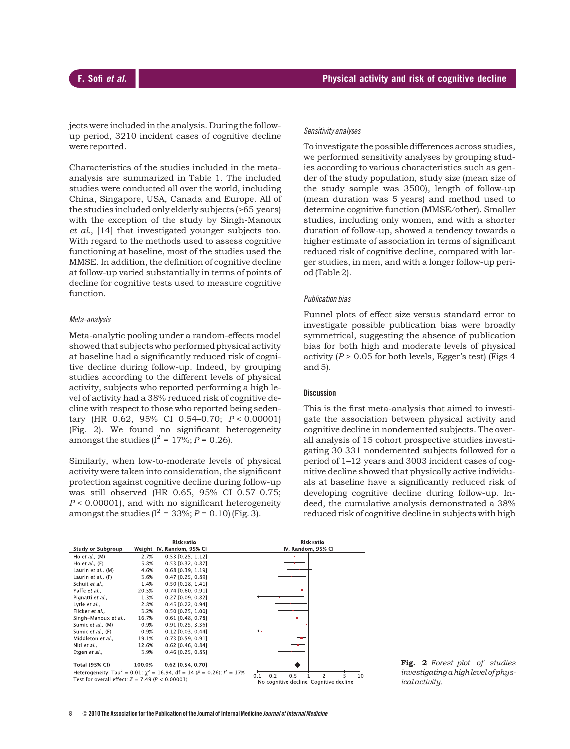jects were included in the analysis. During the followup period, 3210 incident cases of cognitive decline were reported.

Characteristics of the studies included in the metaanalysis are summarized in Table 1. The included studies were conducted all over the world, including China, Singapore, USA, Canada and Europe. All of the studies included only elderly subjects (>65 years) with the exception of the study by Singh-Manoux et al., [14] that investigated younger subjects too. With regard to the methods used to assess cognitive functioning at baseline, most of the studies used the MMSE. In addition, the definition of cognitive decline at follow-up varied substantially in terms of points of decline for cognitive tests used to measure cognitive function.

#### Meta-analysis

Meta-analytic pooling under a random-effects model showed that subjects who performed physical activity at baseline had a significantly reduced risk of cognitive decline during follow-up. Indeed, by grouping studies according to the different levels of physical activity, subjects who reported performing a high level of activity had a 38% reduced risk of cognitive decline with respect to those who reported being sedentary (HR 0.62, 95% CI 0.54–0.70;  $P < 0.00001$ ) (Fig. 2). We found no significant heterogeneity amongst the studies  $I^2 = 17\%; P = 0.26$ .

Similarly, when low-to-moderate levels of physical activity were taken into consideration, the significant protection against cognitive decline during follow-up was still observed (HR 0.65, 95% CI 0.57–0.75;  $P < 0.00001$ , and with no significant heterogeneity amongst the studies  $I^2 = 33\%; P = 0.10$  (Fig. 3).

#### Sensitivity analyses

To investigate the possible differences across studies, we performed sensitivity analyses by grouping studies according to various characteristics such as gender of the study population, study size (mean size of the study sample was 3500), length of follow-up (mean duration was 5 years) and method used to determine cognitive function (MMSE ⁄ other). Smaller studies, including only women, and with a shorter duration of follow-up, showed a tendency towards a higher estimate of association in terms of significant reduced risk of cognitive decline, compared with larger studies, in men, and with a longer follow-up period (Table 2).

#### Publication bias

Funnel plots of effect size versus standard error to investigate possible publication bias were broadly symmetrical, suggesting the absence of publication bias for both high and moderate levels of physical activity  $(P > 0.05$  for both levels, Egger's test) (Figs 4 and 5).

#### **Discussion**

This is the first meta-analysis that aimed to investigate the association between physical activity and cognitive decline in nondemented subjects. The overall analysis of 15 cohort prospective studies investigating 30 331 nondemented subjects followed for a period of 1–12 years and 3003 incident cases of cognitive decline showed that physically active individuals at baseline have a significantly reduced risk of developing cognitive decline during follow-up. Indeed, the cumulative analysis demonstrated a 38% reduced risk of cognitive decline in subjects with high



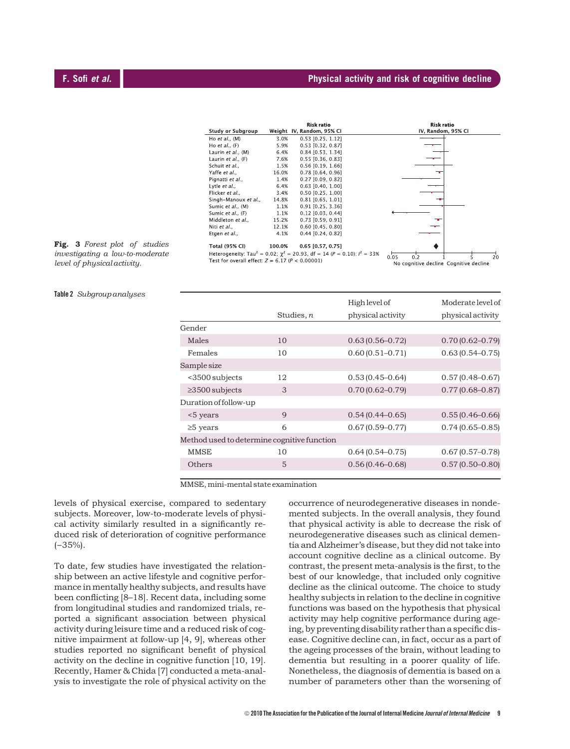### F. Sofi et al. **Physical activity and risk of cognitive decline Physical activity and risk of cognitive decline**

|                                                       |        | <b>Risk ratio</b>                                                                         | <b>Risk ratio</b>                      |
|-------------------------------------------------------|--------|-------------------------------------------------------------------------------------------|----------------------------------------|
| Study or Subgroup                                     |        | Weight IV, Random, 95% CI                                                                 | IV, Random, 95% CI                     |
| Ho et al., $(M)$                                      | 3.0%   | $0.53$ [0.25, 1.12]                                                                       |                                        |
| Ho et al., $(F)$                                      | 5.9%   | $0.53$ [0.32, 0.87]                                                                       |                                        |
| Laurin et al., (M)                                    | 6.4%   | $0.84$ [0.53, 1.34]                                                                       |                                        |
| Laurin et al., (F)                                    | 7.6%   | $0.55$ [0.36, 0.83]                                                                       |                                        |
| Schuit et al.,                                        | 1.5%   | $0.56$ [0.19, 1.66]                                                                       |                                        |
| Yaffe et al                                           | 16.0%  | $0.78$ [0.64, 0.96]                                                                       |                                        |
| Pignatti et al.,                                      | 1.4%   | 0.27 [0.09, 0.82]                                                                         |                                        |
| Lytle et al.,                                         | 6.4%   | $0.63$ [0.40, 1.00]                                                                       |                                        |
| Flicker et al.,                                       | 3.4%   | $0.50$ $[0.25, 1.00]$                                                                     |                                        |
| Singh-Manoux et al.,                                  | 14.8%  | $0.81$ [0.65, 1.01]                                                                       |                                        |
| Sumic et al., (M)                                     | 1.1%   | $0.91$ [0.25, 3.36]                                                                       |                                        |
| Sumic et al., (F)                                     | 1.1%   | $0.12$ [0.03, 0.44]                                                                       |                                        |
| Middleton et al.,                                     | 15.2%  | $0.73$ [0.59, 0.91]                                                                       |                                        |
| Niti et al                                            | 12.1%  | $0.60$ $[0.45, 0.80]$                                                                     |                                        |
| Etgen et al.,                                         | 4.1%   | $0.44$ [0.24, 0.82]                                                                       |                                        |
| <b>Total (95% CI)</b>                                 | 100.0% | $0.65$ [0.57, 0.75]                                                                       |                                        |
|                                                       |        | Heterogeneity: Tau <sup>2</sup> = 0.02; $\chi^2$ = 20.93, df = 14 (P = 0.10); $l^2$ = 33% | 0.05<br>$20^{\circ}$<br>0.2            |
| Test for overall effect: $Z = 6.17$ ( $P < 0.00001$ ) |        |                                                                                           | No cognitive decline Cognitive decline |
|                                                       |        |                                                                                           |                                        |

Fig. 3 Forest plot of studies investigating a low-to-moderate level of physical activity.

#### Table 2 Subgroup analyses

|                                             |              | High level of       | Moderate level of   |
|---------------------------------------------|--------------|---------------------|---------------------|
|                                             | Studies, $n$ | physical activity   | physical activity   |
| Gender                                      |              |                     |                     |
| Males                                       | 10           | $0.63(0.56 - 0.72)$ | $0.70(0.62 - 0.79)$ |
| Females                                     | 10           | $0.60(0.51 - 0.71)$ | $0.63(0.54 - 0.75)$ |
| Sample size                                 |              |                     |                     |
| <3500 subjects                              | 12           | $0.53(0.45 - 0.64)$ | $0.57(0.48 - 0.67)$ |
| $\geq$ 3500 subjects                        | 3            | $0.70(0.62 - 0.79)$ | $0.77(0.68 - 0.87)$ |
| Duration of follow-up                       |              |                     |                     |
| <5 years                                    | 9            | $0.54(0.44 - 0.65)$ | $0.55(0.46 - 0.66)$ |
| $\geq$ 5 years                              | 6            | $0.67(0.59 - 0.77)$ | $0.74(0.65 - 0.85)$ |
| Method used to determine cognitive function |              |                     |                     |
| <b>MMSE</b>                                 | 10           | $0.64(0.54 - 0.75)$ | $0.67(0.57-0.78)$   |
| Others                                      | 5            | $0.56(0.46 - 0.68)$ | $0.57(0.50 - 0.80)$ |
|                                             |              |                     |                     |

MMSE, mini-mental state examination

levels of physical exercise, compared to sedentary subjects. Moreover, low-to-moderate levels of physical activity similarly resulted in a significantly reduced risk of deterioration of cognitive performance  $(-35\%)$ .

To date, few studies have investigated the relationship between an active lifestyle and cognitive performance in mentally healthy subjects, and results have been conflicting [8–18]. Recent data, including some from longitudinal studies and randomized trials, reported a significant association between physical activity during leisure time and a reduced risk of cognitive impairment at follow-up [4, 9], whereas other studies reported no significant benefit of physical activity on the decline in cognitive function [10, 19]. Recently, Hamer & Chida [7] conducted a meta-analysis to investigate the role of physical activity on the occurrence of neurodegenerative diseases in nondemented subjects. In the overall analysis, they found that physical activity is able to decrease the risk of neurodegenerative diseases such as clinical dementia and Alzheimer's disease, but they did not take into account cognitive decline as a clinical outcome. By contrast, the present meta-analysis is the first, to the best of our knowledge, that included only cognitive decline as the clinical outcome. The choice to study healthy subjects in relation to the decline in cognitive functions was based on the hypothesis that physical activity may help cognitive performance during ageing, by preventing disability rather than a specific disease. Cognitive decline can, in fact, occur as a part of the ageing processes of the brain, without leading to dementia but resulting in a poorer quality of life. Nonetheless, the diagnosis of dementia is based on a number of parameters other than the worsening of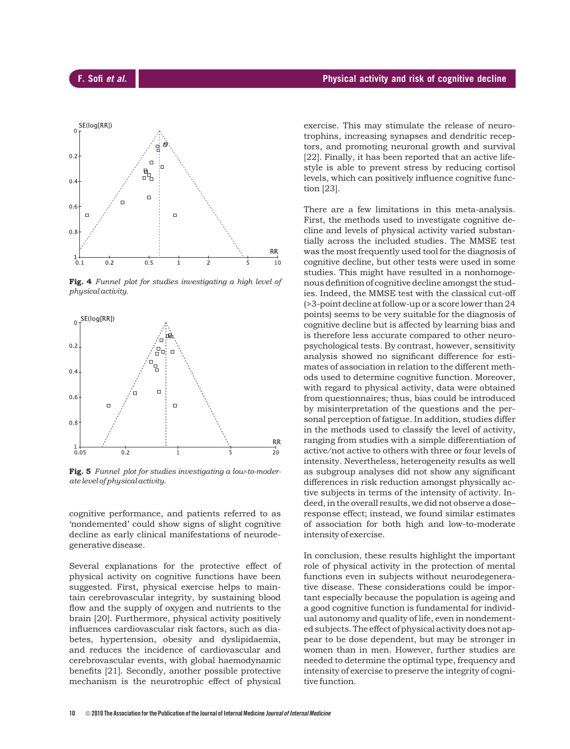

Fig. 4 Funnel plot for studies investigating a high level of physical activity.



Fig. 5 Funnel plot for studies investigating a low-to-moderate level of physical activity.

cognitive performance, and patients referred to as 'nondemented' could show signs of slight cognitive decline as early clinical manifestations of neurodegenerative disease.

Several explanations for the protective effect of physical activity on cognitive functions have been suggested. First, physical exercise helps to maintain cerebrovascular integrity, by sustaining blood flow and the supply of oxygen and nutrients to the brain [20]. Furthermore, physical activity positively influences cardiovascular risk factors, such as diabetes, hypertension, obesity and dyslipidaemia, and reduces the incidence of cardiovascular and cerebrovascular events, with global haemodynamic benefits [21]. Secondly, another possible protective mechanism is the neurotrophic effect of physical

exercise. This may stimulate the release of neurotrophins, increasing synapses and dendritic receptors, and promoting neuronal growth and survival [22]. Finally, it has been reported that an active lifestyle is able to prevent stress by reducing cortisol levels, which can positively influence cognitive function [23].

There are a few limitations in this meta-analysis. First, the methods used to investigate cognitive decline and levels of physical activity varied substantially across the included studies. The MMSE test was the most frequently used tool for the diagnosis of cognitive decline, but other tests were used in some studies. This might have resulted in a nonhomogenous definition of cognitive decline amongst the studies. Indeed, the MMSE test with the classical cut-off (>3-point decline at follow-up or a score lower than 24 points) seems to be very suitable for the diagnosis of cognitive decline but is affected by learning bias and is therefore less accurate compared to other neuropsychological tests. By contrast, however, sensitivity analysis showed no significant difference for estimates of association in relation to the different methods used to determine cognitive function. Moreover, with regard to physical activity, data were obtained from questionnaires; thus, bias could be introduced by misinterpretation of the questions and the personal perception of fatigue. In addition, studies differ in the methods used to classify the level of activity, ranging from studies with a simple differentiation of active ⁄not active to others with three or four levels of intensity. Nevertheless, heterogeneity results as well as subgroup analyses did not show any significant differences in risk reduction amongst physically active subjects in terms of the intensity of activity. Indeed, in the overall results, we did not observe a dose– response effect; instead, we found similar estimates of association for both high and low-to-moderate intensity of exercise.

In conclusion, these results highlight the important role of physical activity in the protection of mental functions even in subjects without neurodegenerative disease. These considerations could be important especially because the population is ageing and a good cognitive function is fundamental for individual autonomy and quality of life, even in nondemented subjects. The effect of physical activity does not appear to be dose dependent, but may be stronger in women than in men. However, further studies are needed to determine the optimal type, frequency and intensity of exercise to preserve the integrity of cognitive function.